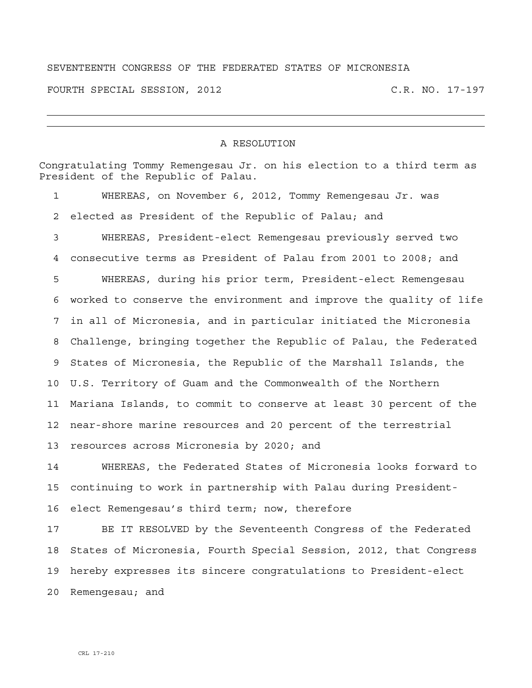## SEVENTEENTH CONGRESS OF THE FEDERATED STATES OF MICRONESIA

FOURTH SPECIAL SESSION, 2012 C.R. NO. 17-197

## A RESOLUTION

Congratulating Tommy Remengesau Jr. on his election to a third term as President of the Republic of Palau.

1 WHEREAS, on November 6, 2012, Tommy Remengesau Jr. was 2 elected as President of the Republic of Palau; and

3 WHEREAS, President-elect Remengesau previously served two 4 consecutive terms as President of Palau from 2001 to 2008; and 5 WHEREAS, during his prior term, President-elect Remengesau 6 worked to conserve the environment and improve the quality of life 7 in all of Micronesia, and in particular initiated the Micronesia 8 Challenge, bringing together the Republic of Palau, the Federated 9 States of Micronesia, the Republic of the Marshall Islands, the 10 U.S. Territory of Guam and the Commonwealth of the Northern 11 Mariana Islands, to commit to conserve at least 30 percent of the 12 near-shore marine resources and 20 percent of the terrestrial 13 resources across Micronesia by 2020; and

14 WHEREAS, the Federated States of Micronesia looks forward to 15 continuing to work in partnership with Palau during President-16 elect Remengesau's third term; now, therefore

17 BE IT RESOLVED by the Seventeenth Congress of the Federated 18 States of Micronesia, Fourth Special Session, 2012, that Congress 19 hereby expresses its sincere congratulations to President-elect 20 Remengesau; and